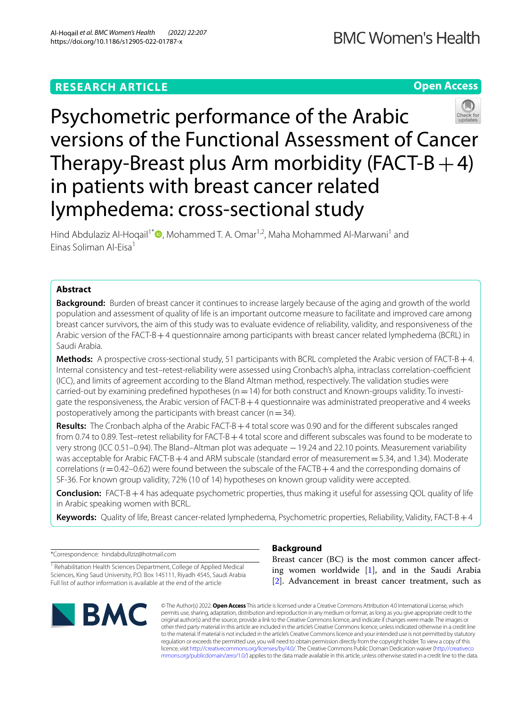## **RESEARCH ARTICLE**

**Open Access**



Hind Abdulaziz Al-Hoqail<sup>1\*</sup>  $\bullet$ [,](http://orcid.org/0000-0001-6744-4181) Mohammed T. A. Omar<sup>1,2</sup>, Maha Mohammed Al-Marwani<sup>1</sup> and Einas Soliman Al-Eisa<sup>1</sup>

## **Abstract**

**Background:** Burden of breast cancer it continues to increase largely because of the aging and growth of the world population and assessment of quality of life is an important outcome measure to facilitate and improved care among breast cancer survivors, the aim of this study was to evaluate evidence of reliability, validity, and responsiveness of the Arabic version of the FACT-B+4 questionnaire among participants with breast cancer related lymphedema (BCRL) in Saudi Arabia.

**Methods:** A prospective cross-sectional study, 51 participants with BCRL completed the Arabic version of FACT-B+4. Internal consistency and test-retest-reliability were assessed using Cronbach's alpha, intraclass correlation-coefficient (ICC), and limits of agreement according to the Bland Altman method, respectively. The validation studies were carried-out by examining predefined hypotheses ( $n=14$ ) for both construct and Known-groups validity. To investigate the responsiveness, the Arabic version of  $FACT-B+4$  questionnaire was administrated preoperative and 4 weeks postoperatively among the participants with breast cancer ( $n=34$ ).

**Results:** The Cronbach alpha of the Arabic FACT-B+4 total score was 0.90 and for the diferent subscales ranged from 0.74 to 0.89. Test–retest reliability for FACT-B + 4 total score and different subscales was found to be moderate to very strong (ICC 0.51–0.94). The Bland–Altman plot was adequate – 19.24 and 22.10 points. Measurement variability was acceptable for Arabic FACT-B+4 and ARM subscale (standard error of measurement=5.34, and 1.34). Moderate correlations ( $r=0.42-0.62$ ) were found between the subscale of the FACTB + 4 and the corresponding domains of SF-36. For known group validity, 72% (10 of 14) hypotheses on known group validity were accepted.

**Conclusion:** FACT-B+4 has adequate psychometric properties, thus making it useful for assessing QOL quality of life in Arabic speaking women with BCRL.

**Keywords:** Quality of life, Breast cancer-related lymphedema, Psychometric properties, Reliability, Validity, FACT-B+4

\*Correspondence: hindabdullziz@hotmail.com

<sup>1</sup> Rehabilitation Health Sciences Department, College of Applied Medical Sciences, King Saud University, P.O. Box 145111, Riyadh 4545, Saudi Arabia Full list of author information is available at the end of the article



## **Background**

Breast cancer (BC) is the most common cancer affecting women worldwide [[1\]](#page-8-0), and in the Saudi Arabia [[2\]](#page-8-1). Advancement in breast cancer treatment, such as

© The Author(s) 2022. **Open Access** This article is licensed under a Creative Commons Attribution 4.0 International License, which permits use, sharing, adaptation, distribution and reproduction in any medium or format, as long as you give appropriate credit to the original author(s) and the source, provide a link to the Creative Commons licence, and indicate if changes were made. The images or other third party material in this article are included in the article's Creative Commons licence, unless indicated otherwise in a credit line to the material. If material is not included in the article's Creative Commons licence and your intended use is not permitted by statutory regulation or exceeds the permitted use, you will need to obtain permission directly from the copyright holder. To view a copy of this licence, visit [http://creativecommons.org/licenses/by/4.0/.](http://creativecommons.org/licenses/by/4.0/) The Creative Commons Public Domain Dedication waiver ([http://creativeco](http://creativecommons.org/publicdomain/zero/1.0/) [mmons.org/publicdomain/zero/1.0/](http://creativecommons.org/publicdomain/zero/1.0/)) applies to the data made available in this article, unless otherwise stated in a credit line to the data.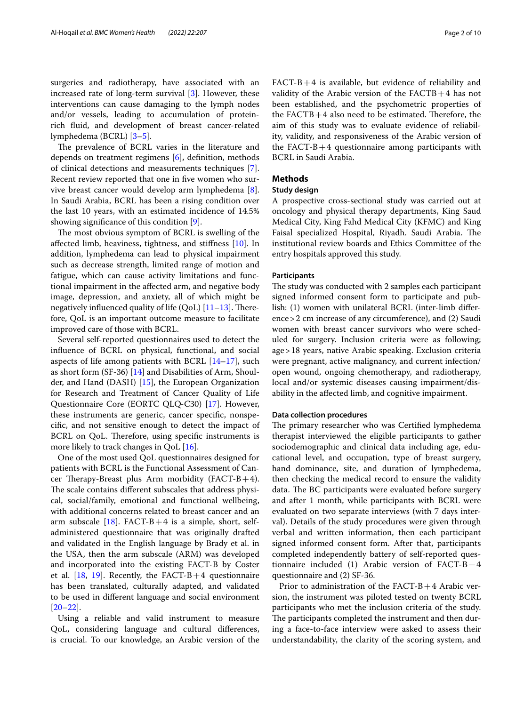The prevalence of BCRL varies in the literature and depends on treatment regimens [[6\]](#page-8-4), defnition, methods of clinical detections and measurements techniques [\[7](#page-8-5)]. Recent review reported that one in five women who survive breast cancer would develop arm lymphedema [\[8](#page-8-6)]. In Saudi Arabia, BCRL has been a rising condition over the last 10 years, with an estimated incidence of 14.5% showing signifcance of this condition [\[9\]](#page-8-7).

The most obvious symptom of BCRL is swelling of the afected limb, heaviness, tightness, and stifness [\[10\]](#page-8-8). In addition, lymphedema can lead to physical impairment such as decrease strength, limited range of motion and fatigue, which can cause activity limitations and functional impairment in the afected arm, and negative body image, depression, and anxiety, all of which might be negatively influenced quality of life  $(QoL)$  [\[11](#page-8-9)–[13\]](#page-8-10). Therefore, QoL is an important outcome measure to facilitate improved care of those with BCRL.

Several self-reported questionnaires used to detect the infuence of BCRL on physical, functional, and social aspects of life among patients with BCRL [\[14](#page-8-11)[–17\]](#page-8-12), such as short form (SF-36) [\[14\]](#page-8-11) and Disabilities of Arm, Shoulder, and Hand (DASH) [[15\]](#page-8-13), the European Organization for Research and Treatment of Cancer Quality of Life Questionnaire Core (EORTC QLQ‐C30) [[17\]](#page-8-12). However, these instruments are generic, cancer specifc, nonspecifc, and not sensitive enough to detect the impact of BCRL on QoL. Therefore, using specific instruments is more likely to track changes in QoL [\[16](#page-8-14)].

One of the most used QoL questionnaires designed for patients with BCRL is the Functional Assessment of Cancer Therapy-Breast plus Arm morbidity (FACT-B+4). The scale contains different subscales that address physical, social/family, emotional and functional wellbeing, with additional concerns related to breast cancer and an arm subscale [\[18](#page-8-15)]. FACT-B+4 is a simple, short, selfadministered questionnaire that was originally drafted and validated in the English language by Brady et al. in the USA, then the arm subscale (ARM) was developed and incorporated into the existing FACT-B by Coster et al.  $[18, 19]$  $[18, 19]$  $[18, 19]$  $[18, 19]$  $[18, 19]$ . Recently, the FACT-B+4 questionnaire has been translated, culturally adapted, and validated to be used in diferent language and social environment [[20–](#page-8-17)[22](#page-8-18)].

Using a reliable and valid instrument to measure QoL, considering language and cultural diferences, is crucial. To our knowledge, an Arabic version of the  $FACT-B+4$  is available, but evidence of reliability and validity of the Arabic version of the  $FACTB + 4$  has not been established, and the psychometric properties of the  $FACTB+4$  also need to be estimated. Therefore, the aim of this study was to evaluate evidence of reliability, validity, and responsiveness of the Arabic version of the FACT-B $+4$  questionnaire among participants with BCRL in Saudi Arabia.

## **Methods**

## **Study design**

A prospective cross-sectional study was carried out at oncology and physical therapy departments, King Saud Medical City, King Fahd Medical City (KFMC) and King Faisal specialized Hospital, Riyadh. Saudi Arabia. The institutional review boards and Ethics Committee of the entry hospitals approved this study.

## **Participants**

The study was conducted with 2 samples each participant signed informed consent form to participate and publish: (1) women with unilateral BCRL (inter-limb diference>2 cm increase of any circumference), and (2) Saudi women with breast cancer survivors who were scheduled for surgery. Inclusion criteria were as following; age>18 years, native Arabic speaking. Exclusion criteria were pregnant, active malignancy, and current infection/ open wound, ongoing chemotherapy, and radiotherapy, local and/or systemic diseases causing impairment/disability in the afected limb, and cognitive impairment.

## **Data collection procedures**

The primary researcher who was Certified lymphedema therapist interviewed the eligible participants to gather sociodemographic and clinical data including age, educational level, and occupation, type of breast surgery, hand dominance, site, and duration of lymphedema, then checking the medical record to ensure the validity data. The BC participants were evaluated before surgery and after 1 month, while participants with BCRL were evaluated on two separate interviews (with 7 days interval). Details of the study procedures were given through verbal and written information, then each participant signed informed consent form. After that, participants completed independently battery of self-reported questionnaire included (1) Arabic version of  $FACT-B+4$ questionnaire and (2) SF-36.

Prior to administration of the FACT-B+4 Arabic version, the instrument was piloted tested on twenty BCRL participants who met the inclusion criteria of the study. The participants completed the instrument and then during a face-to-face interview were asked to assess their understandability, the clarity of the scoring system, and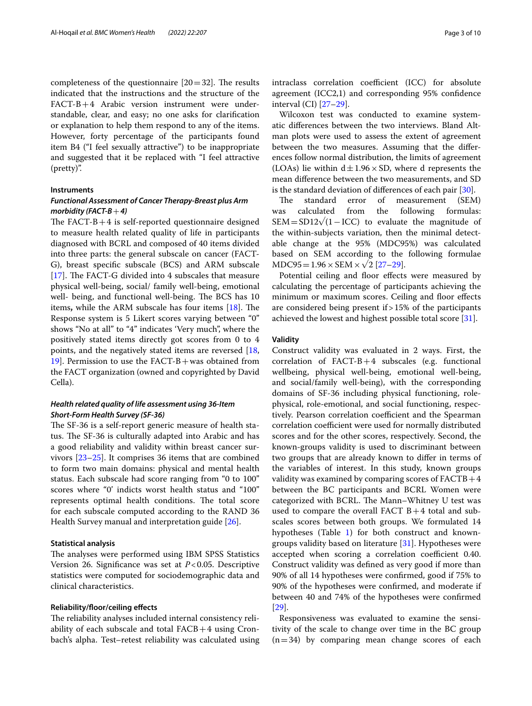completeness of the questionnaire  $[20=32]$ . The results indicated that the instructions and the structure of the FACT-B+4 Arabic version instrument were understandable, clear, and easy; no one asks for clarifcation or explanation to help them respond to any of the items. However, forty percentage of the participants found item B4 ("I feel sexually attractive") to be inappropriate and suggested that it be replaced with "I feel attractive (pretty)".

## **Instruments**

## *Functional Assessment of Cancer Therapy‑Breast plus Arm morbidity (FACT‑B*+*4)*

The FACT-B $+4$  is self-reported questionnaire designed to measure health related quality of life in participants diagnosed with BCRL and composed of 40 items divided into three parts: the general subscale on cancer (FACT-G), breast specifc subscale (BCS) and ARM subscale [[17\]](#page-8-12). The FACT-G divided into 4 subscales that measure physical well-being, social/ family well-being, emotional well- being, and functional well-being. The BCS has 10 items, while the ARM subscale has four items [[18](#page-8-15)]. The Response system is 5 Likert scores varying between "0" shows "No at all" to "4" indicates 'Very much", where the positively stated items directly got scores from 0 to 4 points, and the negatively stated items are reversed [\[18](#page-8-15), 19. Permission to use the  $FACT-B+was$  obtained from the FACT organization (owned and copyrighted by David Cella).

## *Health related quality of life assessment using 36‑Item Short‑Form Health Survey (SF‑36)*

The SF-36 is a self-report generic measure of health status. The SF-36 is culturally adapted into Arabic and has a good reliability and validity within breast cancer survivors [[23](#page-8-19)[–25](#page-9-0)]. It comprises 36 items that are combined to form two main domains: physical and mental health status. Each subscale had score ranging from "0 to 100" scores where "0' indicts worst health status and "100" represents optimal health conditions. The total score for each subscale computed according to the RAND 36 Health Survey manual and interpretation guide [[26\]](#page-9-1).

## **Statistical analysis**

The analyses were performed using IBM SPSS Statistics Version 26. Signifcance was set at *P*<0.05. Descriptive statistics were computed for sociodemographic data and clinical characteristics.

## **Reliability/foor/ceiling efects**

The reliability analyses included internal consistency reliability of each subscale and total  $FACB+4$  using Cronbach's alpha. Test–retest reliability was calculated using intraclass correlation coefficient (ICC) for absolute agreement (ICC2,1) and corresponding 95% confdence interval (CI) [[27](#page-9-2)[–29](#page-9-3)].

Wilcoxon test was conducted to examine systematic diferences between the two interviews. Bland Altman plots were used to assess the extent of agreement between the two measures. Assuming that the diferences follow normal distribution, the limits of agreement (LOAs) lie within  $d \pm 1.96 \times SD$ , where d represents the mean diference between the two measurements, and SD is the standard deviation of diferences of each pair [\[30](#page-9-4)].

The standard error of measurement (SEM) was calculated from the following formulas: SEM=SD12√(1−ICC) to evaluate the magnitude of the within-subjects variation, then the minimal detectable change at the 95% (MDC95%) was calculated based on SEM according to the following formulae  $MDC95 = 1.96 \times SEM \times \sqrt{2}$  [\[27](#page-9-2)[–29\]](#page-9-3).

Potential ceiling and floor effects were measured by calculating the percentage of participants achieving the minimum or maximum scores. Ceiling and floor effects are considered being present if>15% of the participants achieved the lowest and highest possible total score [[31\]](#page-9-5).

#### **Validity**

Construct validity was evaluated in 2 ways. First, the correlation of  $FACT-B+4$  subscales (e.g. functional wellbeing, physical well-being, emotional well-being, and social/family well-being), with the corresponding domains of SF-36 including physical functioning, rolephysical, role-emotional, and social functioning, respectively. Pearson correlation coefficient and the Spearman correlation coefficient were used for normally distributed scores and for the other scores, respectively. Second, the known-groups validity is used to discriminant between two groups that are already known to difer in terms of the variables of interest. In this study, known groups validity was examined by comparing scores of  $FACTB + 4$ between the BC participants and BCRL Women were categorized with BCRL. The Mann-Whitney U test was used to compare the overall FACT  $B+4$  total and subscales scores between both groups. We formulated 14 hypotheses (Table [1\)](#page-3-0) for both construct and knowngroups validity based on literature [[31\]](#page-9-5). Hypotheses were accepted when scoring a correlation coefficient 0.40. Construct validity was defned as very good if more than 90% of all 14 hypotheses were confrmed, good if 75% to 90% of the hypotheses were confrmed, and moderate if between 40 and 74% of the hypotheses were confrmed [[29\]](#page-9-3).

Responsiveness was evaluated to examine the sensitivity of the scale to change over time in the BC group  $(n=34)$  by comparing mean change scores of each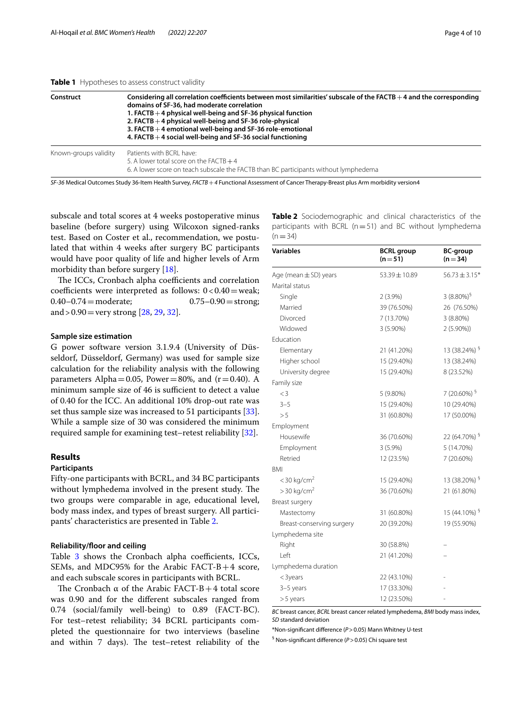#### <span id="page-3-0"></span>**Table 1** Hypotheses to assess construct validity

| Construct             | Considering all correlation coefficients between most similarities' subscale of the FACTB $+$ 4 and the corresponding<br>domains of SF-36, had moderate correlation<br>1. FACTB $+$ 4 physical well-being and SF-36 physical function<br>2. FACTB $+$ 4 physical well-being and SF-36 role-physical<br>3. FACTB $+$ 4 emotional well-being and SF-36 role-emotional<br>4. FACTB $+$ 4 social well-being and SF-36 social functioning |  |  |  |
|-----------------------|--------------------------------------------------------------------------------------------------------------------------------------------------------------------------------------------------------------------------------------------------------------------------------------------------------------------------------------------------------------------------------------------------------------------------------------|--|--|--|
| Known-groups validity | Patients with BCRL have:<br>5. A lower total score on the FACTB $+4$<br>6. A lower score on teach subscale the FACTB than BC participants without lymphedema                                                                                                                                                                                                                                                                         |  |  |  |

*SF-36* Medical Outcomes Study 36-Item Health Survey, *FACTB*+*4* Functional Assessment of Cancer Therapy-Breast plus Arm morbidity version4

subscale and total scores at 4 weeks postoperative minus baseline (before surgery) using Wilcoxon signed-ranks test. Based on Coster et al., recommendation, we postulated that within 4 weeks after surgery BC participants would have poor quality of life and higher levels of Arm morbidity than before surgery [[18](#page-8-15)].

The ICCs, Cronbach alpha coefficients and correlation coefficients were interpreted as follows:  $0 < 0.40$  = weak;<br> $0.40 - 0.74$  = moderate;  $0.75 - 0.90$  = strong;  $0.40 - 0.74$  = moderate; and >  $0.90$  = very strong [\[28](#page-9-6), [29](#page-9-3), [32\]](#page-9-7).

### **Sample size estimation**

G power software version 3.1.9.4 (University of Düsseldorf, Düsseldorf, Germany) was used for sample size calculation for the reliability analysis with the following parameters Alpha=0.05, Power=80%, and  $(r=0.40)$ . A minimum sample size of 46 is sufficient to detect a value of 0.40 for the ICC. An additional 10% drop-out rate was set thus sample size was increased to 51 participants [\[33](#page-9-8)]. While a sample size of 30 was considered the minimum required sample for examining test–retest reliability [[32\]](#page-9-7).

## **Results**

## **Participants**

Fifty-one participants with BCRL, and 34 BC participants without lymphedema involved in the present study. The two groups were comparable in age, educational level, body mass index, and types of breast surgery. All participants' characteristics are presented in Table [2](#page-3-1).

## **Reliability/foor and ceiling**

Table  $3$  shows the Cronbach alpha coefficients, ICCs, SEMs, and MDC95% for the Arabic FACT-B+4 score, and each subscale scores in participants with BCRL.

The Cronbach  $\alpha$  of the Arabic FACT-B+4 total score was 0.90 and for the diferent subscales ranged from 0.74 (social/family well-being) to 0.89 (FACT-BC). For test–retest reliability; 34 BCRL participants completed the questionnaire for two interviews (baseline and within 7 days). The test-retest reliability of the

<span id="page-3-1"></span>**Table 2** Sociodemographic and clinical characteristics of the participants with BCRL ( $n=51$ ) and BC without lymphedema  $(n=34)$ 

| <b>Variables</b>          | <b>BCRL</b> group<br>$(n=51)$ | <b>BC-group</b><br>$(n=34)$ |
|---------------------------|-------------------------------|-----------------------------|
| Age (mean $\pm$ SD) years | $53.39 \pm 10.89$             | $56.73 \pm 3.15*$           |
| Marital status            |                               |                             |
| Single                    | $2(3.9\%)$                    | 3 $(8.80\%)^5$              |
| Married                   | 39 (76.50%)                   | 26 (76.50%)                 |
| Divorced                  | 7 (13.70%)                    | 3 (8.80%)                   |
| Widowed                   | 3 (5.90%)                     | $2(5.90\%)$                 |
| Education                 |                               |                             |
| Elementary                | 21 (41.20%)                   | 13 (38.24%) <sup>§</sup>    |
| Higher school             | 15 (29.40%)                   | 13 (38.24%)                 |
| University degree         | 15 (29.40%)                   | 8 (23.52%)                  |
| Family size               |                               |                             |
| $<$ 3                     | 5 (9.80%)                     | 7 (20.60%) $5$              |
| $3 - 5$                   | 15 (29.40%)                   | 10 (29.40%)                 |
| > 5                       | 31 (60.80%)                   | 17 (50.00%)                 |
| Employment                |                               |                             |
| Housewife                 | 36 (70.60%)                   | 22 (64.70%) §               |
| Employment                | $3(5.9\%)$                    | 5 (14.70%)                  |
| Retried                   | 12 (23.5%)                    | 7 (20.60%)                  |
| <b>BMI</b>                |                               |                             |
| $<$ 30 kg/cm <sup>2</sup> | 15 (29.40%)                   | 13 (38.20%) <sup>§</sup>    |
| $>$ 30 kg/cm <sup>2</sup> | 36 (70.60%)                   | 21 (61.80%)                 |
| Breast surgery            |                               |                             |
| Mastectomy                | 31 (60.80%)                   | 15 (44.10%) §               |
| Breast-conserving surgery | 20 (39.20%)                   | 19 (55.90%)                 |
| Lymphedema site           |                               |                             |
| Right                     | 30 (58.8%)                    |                             |
| Left                      | 21 (41.20%)                   |                             |
| Lymphedema duration       |                               |                             |
| $<$ 3years                | 22 (43.10%)                   |                             |
| 3-5 years                 | 17 (33.30%)                   |                             |
| $> 5$ years               | 12 (23.50%)                   |                             |

*BC* breast cancer, *BCRL* breast cancer related lymphedema, *BMI* body mass index, *SD* standard deviation

\*Non-signifcant diference (*P*>0.05) Mann Whitney U-test

§ Non-signifcant diference (*P*>0.05) Chi square test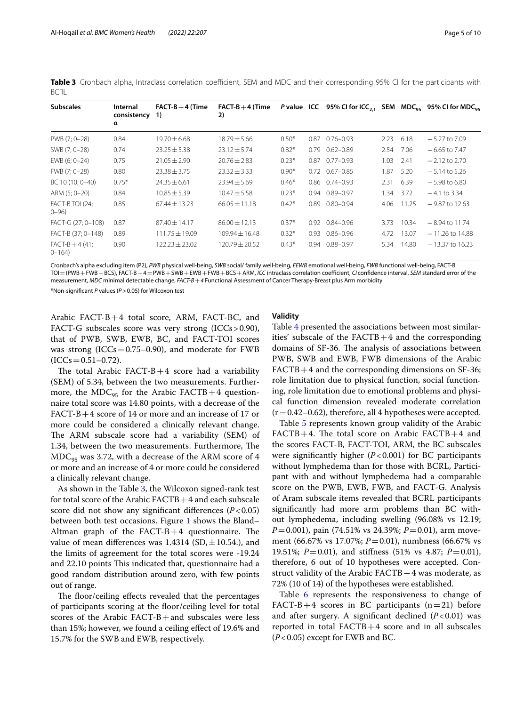<span id="page-4-0"></span>**Table 3** Cronbach alpha, Intraclass correlation coefficient, SEM and MDC and their corresponding 95% CI for the participants with **BCRL** 

| <b>Subscales</b>              | Internal<br>consistency 1)<br>α | $FACT-B+4$ (Time   | $FACT-B+4$ (Time<br>2) |         |                      |      |       | P value ICC 95% CI for ICC <sub>2.1</sub> SEM $MDC_{95}$ 95% CI for $MDC_{95}$ |
|-------------------------------|---------------------------------|--------------------|------------------------|---------|----------------------|------|-------|--------------------------------------------------------------------------------|
| PWB (7; 0-28)                 | 0.84                            | 19.70 $\pm$ 6.68   | $18.79 \pm 5.66$       | $0.50*$ | $0.87$ $0.76 - 0.93$ | 2.23 | 6.18  | $-5.27$ to $7.09$                                                              |
| SWB (7; 0-28)                 | 0.74                            | $23.25 \pm 5.38$   | $23.12 \pm 5.74$       | $0.82*$ | $0.79$ $0.62 - 0.89$ | 2.54 | 7.06  | $-6.65$ to 7.47                                                                |
| EWB (6; 0-24)                 | 0.75                            | $21.05 \pm 2.90$   | $20.76 \pm 2.83$       | $0.23*$ | $0.87$ $0.77 - 0.93$ | 1.03 | 2.41  | $-2.12$ to 2.70                                                                |
| FWB (7; 0-28)                 | 0.80                            | $23.38 \pm 3.75$   | $23.32 \pm 3.33$       | $0.90*$ | $0.72$ $0.67 - 0.85$ | 1.87 | 5.20  | $-5.14$ to 5.26                                                                |
| BC 10 (10; 0-40)              | $0.75*$                         | $24.35 \pm 6.61$   | $23.94 \pm 5.69$       | $0.46*$ | $0.86$ $0.74 - 0.93$ | 2.31 | 6.39  | $-5.98$ to 6.80                                                                |
| ARM (5; 0-20)                 | 0.84                            | $10.85 \pm 5.39$   | $10.47 \pm 5.58$       | $0.23*$ | $0.94$ $0.89 - 0.97$ | 1.34 | 3.72  | $-4.1$ to 3.34                                                                 |
| FACT-B TOI (24:<br>$0 - 96$   | 0.85                            | $67.44 \pm 13.23$  | $66.05 \pm 11.18$      | $0.42*$ | $0.89$ $0.80 - 0.94$ | 4.06 | 11.25 | $-9.87$ to 12.63                                                               |
| FACT-G (27; 0-108)            | 0.87                            | $87.40 \pm 14.17$  | $86.00 \pm 12.13$      | $0.37*$ | 0.92 0.84-0.96       | 3.73 | 10.34 | $-8.94$ to 11.74                                                               |
| FACT-B (37; 0-148)            | 0.89                            | $111.75 \pm 19.09$ | $109.94 \pm 16.48$     | $0.32*$ | $0.93$ $0.86 - 0.96$ | 4.72 | 13.07 | $-11.26$ to $14.88$                                                            |
| $FACT-B + 4(41;$<br>$0 - 164$ | 0.90                            | $122.23 \pm 23.02$ | $120.79 \pm 20.52$     | $0.43*$ | 0.94 0.88-0.97       | 5.34 | 14.80 | $-13.37$ to 16.23                                                              |

Cronbach's alpha excluding item (P2), *PWB* physical well-being, *SWB* social/ family well-being, *EEWB* emotional well-being, *FWB* functional well-being, FACT-B TOI = (PWB + FWB + BCS), FACT-B + 4 = PWB + SWB + EWB + FWB + BCS + ARM, *ICC* intraclass correlation coefficient, *CI* confidence interval, *SEM* standard error of the measurement, *MDC* minimal detectable change, *FACT-B*+*4* Functional Assessment of Cancer Therapy-Breast plus Arm morbidity

\*Non-signifcant *P* values (*P*>0.05) for Wilcoxon test

Arabic FACT-B+4 total score, ARM, FACT-BC, and FACT-G subscales score was very strong (ICCs>0.90), that of PWB, SWB, EWB, BC, and FACT-TOI scores was strong  $(ICCs = 0.75-0.90)$ , and moderate for FWB  $(ICCs = 0.51 - 0.72).$ 

The total Arabic FACT-B $+4$  score had a variability (SEM) of 5.34, between the two measurements. Furthermore, the MDC<sub>95</sub> for the Arabic FACTB+4 questionnaire total score was 14.80 points, with a decrease of the FACT-B+4 score of 14 or more and an increase of 17 or more could be considered a clinically relevant change. The ARM subscale score had a variability (SEM) of 1.34, between the two measurements. Furthermore, The  $MDC_{95}$  was 3.72, with a decrease of the ARM score of 4 or more and an increase of 4 or more could be considered a clinically relevant change.

As shown in the Table [3,](#page-4-0) the Wilcoxon signed-rank test for total score of the Arabic  $FACTB + 4$  and each subscale score did not show any signifcant diferences (*P*<0.05) between both test occasions. Figure [1](#page-5-0) shows the Bland– Altman graph of the FACT-B $+4$  questionnaire. The value of mean differences was  $1.4314$  (SD,  $\pm 10.54$ .), and the limits of agreement for the total scores were -19.24 and 22.10 points This indicated that, questionnaire had a good random distribution around zero, with few points out of range.

The floor/ceiling effects revealed that the percentages of participants scoring at the foor/ceiling level for total scores of the Arabic FACT-B+and subscales were less than 15%; however, we found a ceiling efect of 19.6% and 15.7% for the SWB and EWB, respectively.

## **Validity**

Table [4](#page-5-1) presented the associations between most similarities' subscale of the  $FACTB+4$  and the corresponding domains of SF-36. The analysis of associations between PWB, SWB and EWB, FWB dimensions of the Arabic FACTB+4 and the corresponding dimensions on SF-36; role limitation due to physical function, social functioning, role limitation due to emotional problems and physical function dimension revealed moderate correlation  $(r=0.42-0.62)$ , therefore, all 4 hypotheses were accepted.

Table [5](#page-6-0) represents known group validity of the Arabic  $FACTB+4$ . The total score on Arabic  $FACTB+4$  and the scores FACT-B, FACT-TOI, ARM, the BC subscales were signifcantly higher (*P*<0.001) for BC participants without lymphedema than for those with BCRL, Participant with and without lymphedema had a comparable score on the PWB, EWB, FWB, and FACT-G. Analysis of Aram subscale items revealed that BCRL participants signifcantly had more arm problems than BC without lymphedema, including swelling (96.08% vs 12.19; *P*=0.001), pain (74.51% vs 24.39%; *P*=0.01), arm movement (66.67% vs 17.07%; *P*=0.01), numbness (66.67% vs 19.51%; *P*=0.01), and stifness (51% vs 4.87; *P*=0.01), therefore, 6 out of 10 hypotheses were accepted. Construct validity of the Arabic  $FACTB + 4$  was moderate, as 72% (10 of 14) of the hypotheses were established.

Table [6](#page-6-1) represents the responsiveness to change of FACT-B+4 scores in BC participants  $(n=21)$  before and after surgery. A signifcant declined (*P*<0.01) was reported in total  $FACTB+4$  score and in all subscales (*P*<0.05) except for EWB and BC.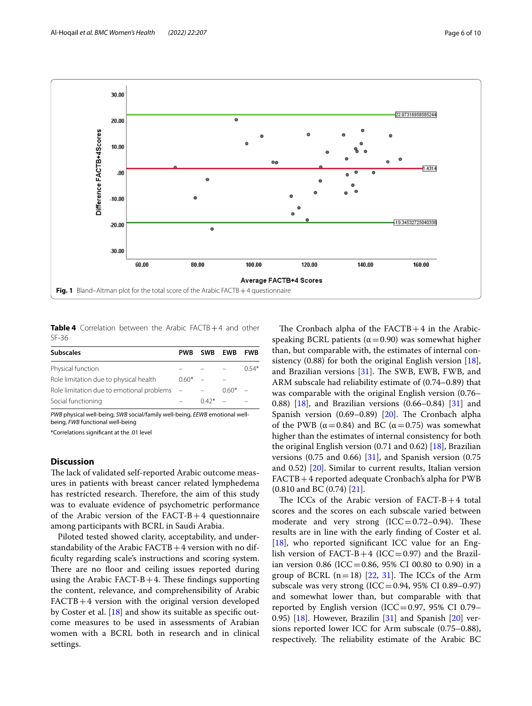

<span id="page-5-1"></span><span id="page-5-0"></span>**Table 4** Correlation between the Arabic FACTB+4 and other SF-36

| <b>Subscales</b>                          | <b>PWB</b> | SWB EWB |         | <b>FWB</b> |
|-------------------------------------------|------------|---------|---------|------------|
| Physical function                         |            |         |         | $0.54*$    |
| Role limitation due to physical health    | $0.60*$    |         |         |            |
| Role limitation due to emotional problems |            |         | $0.60*$ |            |
| Social functioning                        |            | $0.42*$ |         |            |

*PWB* physical well-being, *SWB* social/family well-being, *EEWB* emotional wellbeing, *FWB* functional well-being

\*Correlations signifcant at the .01 level

## **Discussion**

The lack of validated self-reported Arabic outcome measures in patients with breast cancer related lymphedema has restricted research. Therefore, the aim of this study was to evaluate evidence of psychometric performance of the Arabic version of the FACT-B+4 questionnaire among participants with BCRL in Saudi Arabia.

Piloted tested showed clarity, acceptability, and understandability of the Arabic  $FACTB + 4$  version with no diffculty regarding scale's instructions and scoring system. There are no floor and ceiling issues reported during using the Arabic FACT-B  $+4$ . These findings supporting the content, relevance, and comprehensibility of Arabic FACTB+4 version with the original version developed by Coster et al. [[18](#page-8-15)] and show its suitable as specifc outcome measures to be used in assessments of Arabian women with a BCRL both in research and in clinical settings.

The Cronbach alpha of the  $FACTB+4$  in the Arabicspeaking BCRL patients ( $\alpha$  = 0.90) was somewhat higher than, but comparable with, the estimates of internal consistency (0.88) for both the original English version [\[18](#page-8-15)], and Brazilian versions  $[31]$  $[31]$ . The SWB, EWB, FWB, and ARM subscale had reliability estimate of (0.74–0.89) that was comparable with the original English version (0.76– 0.88) [[18\]](#page-8-15), and Brazilian versions (0.66–0.84) [[31\]](#page-9-5) and Spanish version  $(0.69-0.89)$   $[20]$  $[20]$ . The Cronbach alpha of the PWB ( $\alpha$ =0.84) and BC ( $\alpha$ =0.75) was somewhat higher than the estimates of internal consistency for both the original English version (0.71 and 0.62) [\[18](#page-8-15)], Brazilian versions  $(0.75 \text{ and } 0.66)$  [[31](#page-9-5)], and Spanish version  $(0.75 \text{ )}$ and 0.52) [[20\]](#page-8-17). Similar to current results, Italian version FACTB+4 reported adequate Cronbach's alpha for PWB (0.810 and BC (0.74) [[21\]](#page-8-20).

The ICCs of the Arabic version of  $FACT-B+4$  total scores and the scores on each subscale varied between moderate and very strong  $(ICC=0.72-0.94)$ . These results are in line with the early fnding of Coster et al. [[18\]](#page-8-15), who reported significant ICC value for an English version of  $FACT-B+4$  (ICC=0.97) and the Brazilian version 0.86 (ICC=0.86, 95% CI 00.80 to 0.90) in a group of BCRL  $(n=18)$  [\[22,](#page-8-18) [31\]](#page-9-5). The ICCs of the Arm subscale was very strong  $(ICC=0.94, 95\% \text{ CI } 0.89-0.97)$ and somewhat lower than, but comparable with that reported by English version (ICC=0.97, 95% CI 0.79– 0.95)  $[18]$  $[18]$ . However, Brazilin  $[31]$  $[31]$  and Spanish  $[20]$  $[20]$  versions reported lower ICC for Arm subscale (0.75–0.88), respectively. The reliability estimate of the Arabic BC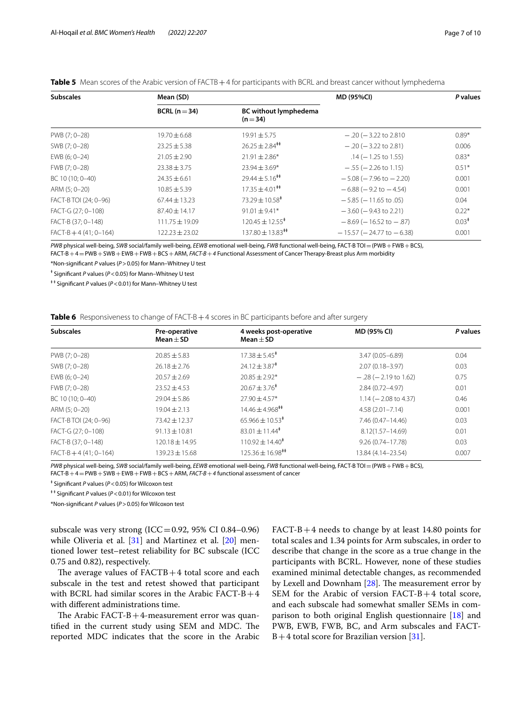<span id="page-6-0"></span>

|  | Table 5 Mean scores of the Arabic version of FACTB + 4 for participants with BCRL and breast cancer without lymphedema |
|--|------------------------------------------------------------------------------------------------------------------------|
|  |                                                                                                                        |

| <b>Subscales</b>      | Mean (SD)                                                     |                                  | <b>MD (95%CI)</b>                | P values          |
|-----------------------|---------------------------------------------------------------|----------------------------------|----------------------------------|-------------------|
|                       | <b>BC</b> without lymphedema<br>BCRL ( $n = 34$ )<br>$(n=34)$ |                                  |                                  |                   |
| PWB (7; 0-28)         | $19.70 \pm 6.68$                                              | $19.91 \pm 5.75$                 | $-.20(-3.22)$ to 2.810           | $0.89*$           |
| SWB (7; 0-28)         | $23.25 + 5.38$                                                | $26.25 \pm 2.84$ <sup>**</sup>   | $-.20(-3.22 \text{ to } 2.81)$   | 0.006             |
| EWB (6; 0-24)         | $21.05 \pm 2.90$                                              | $21.91 \pm 2.86*$                | $.14 (-1.25 to 1.55)$            | $0.83*$           |
| FWB (7: 0-28)         | $23.38 \pm 3.75$                                              | $23.94 \pm 3.69*$                | $-$ .55 ( $-$ 2.26 to 1.15)      | $0.51*$           |
| BC 10 (10; 0-40)      | $24.35 \pm 6.61$                                              | $79.44 \pm 5.16^{\text{++}}$     | $-5.08$ ( $-7.96$ to $-2.20$ )   | 0.001             |
| ARM (5; 0-20)         | $10.85 \pm 5.39$                                              | $17.35 \pm 4.01$ <sup>##</sup>   | $-6.88$ ( $-9.2$ to $-4.54$ )    | 0.001             |
| FACT-B TOI (24; 0-96) | $67.44 \pm 13.23$                                             | $73.29 \pm 10.58^{\ddagger}$     | $-5.85$ ( $-11.65$ to .05)       | 0.04              |
| FACT-G (27; 0-108)    | $87.40 \pm 14.17$                                             | $91.01 \pm 9.41*$                | $-3.60$ ( $-9.43$ to 2.21)       | $0.22*$           |
| FACT-B (37; 0-148)    | $111.75 \pm 19.09$                                            | $120.45 \pm 12.55^*$             | $-8.69$ ( $-16.52$ to $-.87$ )   | 0.03 <sup>†</sup> |
| $FACT-B+4(41:0-164)$  | $122.23 \pm 23.02$                                            | $137.80 \pm 13.83$ <sup>##</sup> | $-15.57$ ( $-24.77$ to $-6.38$ ) | 0.001             |

*PWB* physical well-being, *SWB* social/family well-being, *EEWB* emotional well-being, *FWB* functional well-being, FACT-B TOI=(PWB+FWB+BCS), FACT-B+4=PWB+SWB+EWB+FWB+BCS+ARM, *FACT-B*+*4* Functional Assessment of Cancer Therapy-Breast plus Arm morbidity

\*Non-signifcant *P* values (*P*>0.05) for Mann–Whitney U test

ǂ Signifcant *P* values (*P*<0.05) for Mann–Whitney U test

ǂ ǂ Signifcant *P* values (*P*<0.01) for Mann–Whitney U test

<span id="page-6-1"></span>

| Table 6 Responsiveness to change of FACT-B + 4 scores in BC participants before and after surgery |  |
|---------------------------------------------------------------------------------------------------|--|
|---------------------------------------------------------------------------------------------------|--|

| <b>Subscales</b>      | Pre-operative<br>$Mean + SD$ | 4 weeks post-operative<br>Mean $\pm$ SD | MD (95% CI)            | P values |
|-----------------------|------------------------------|-----------------------------------------|------------------------|----------|
| PWB (7; 0-28)         | $20.85 \pm 5.83$             | $17.38 \pm 5.45^*$                      | $3.47(0.05 - 6.89)$    | 0.04     |
| SWB (7; 0-28)         | $26.18 \pm 2.76$             | $24.12 \pm 3.87^*$                      | $2.07(0.18 - 3.97)$    | 0.03     |
| EWB (6; 0-24)         | $20.57 \pm 2.69$             | $20.85 \pm 2.92*$                       | $-.28 (-2.19 to 1.62)$ | 0.75     |
| FWB (7; 0-28)         | $23.52 \pm 4.53$             | $20.67 \pm 3.76^*$                      | 2.84 (0.72-4.97)       | 0.01     |
| BC 10 (10; 0-40)      | $29.04 \pm 5.86$             | $27.90 \pm 4.57*$                       | $1.14 (-2.08 to 4.37)$ | 0.46     |
| ARM (5; 0-20)         | $19.04 \pm 2.13$             | $14.46 \pm 4.968$ <sup>**</sup>         | $4.58(2.01 - 7.14)$    | 0.001    |
| FACT-B TOI (24; 0-96) | $73.42 \pm 12.37$            | $65.966 \pm 10.53$ <sup>#</sup>         | 7.46 (0.47-14.46)      | 0.03     |
| FACT-G (27; 0-108)    | $91.13 + 10.81$              | $83.01 \pm 11.44^*$                     | $8.12(1.57 - 14.69)$   | 0.01     |
| FACT-B (37; 0-148)    | 120.18 ± 14.95               | $110.92 \pm 14.40^*$                    | $9.26(0.74 - 17.78)$   | 0.03     |
| $FACT-B+4(41; 0-164)$ | $139.23 \pm 15.68$           | $125.36 \pm 16.98$ <sup>**</sup>        | 13.84 (4.14-23.54)     | 0.007    |

*PWB* physical well-being, *SWB* social/family well-being, *EEWB* emotional well-being, *FWB* functional well-being, FACT-B TOI=(PWB+FWB+BCS),

FACT-B+4=PWB+SWB+EWB+FWB+BCS+ARM, *FACT-B*+*4* functional assessment of cancer

ǂ Signifcant *P* values (*P*<0.05) for Wilcoxon test

ǂ ǂ Signifcant *P* values (*P*<0.01) for Wilcoxon test

\*Non-signifcant *P* values (*P*>0.05) for Wilcoxon test

subscale was very strong (ICC=0.92, 95% CI 0.84–0.96) while Oliveria et al. [[31\]](#page-9-5) and Martinez et al. [\[20\]](#page-8-17) mentioned lower test–retest reliability for BC subscale (ICC 0.75 and 0.82), respectively.

The average values of  $FACTB + 4$  total score and each subscale in the test and retest showed that participant with BCRL had similar scores in the Arabic FACT-B+4 with diferent administrations time.

The Arabic FACT-B  $+4$ -measurement error was quantified in the current study using SEM and MDC. The reported MDC indicates that the score in the Arabic FACT-B+4 needs to change by at least 14.80 points for total scales and 1.34 points for Arm subscales, in order to describe that change in the score as a true change in the participants with BCRL. However, none of these studies examined minimal detectable changes, as recommended by Lexell and Downham  $[28]$  $[28]$ . The measurement error by SEM for the Arabic of version FACT-B+4 total score, and each subscale had somewhat smaller SEMs in com-parison to both original English questionnaire [[18](#page-8-15)] and PWB, EWB, FWB, BC, and Arm subscales and FACT- $B+4$  total score for Brazilian version [[31\]](#page-9-5).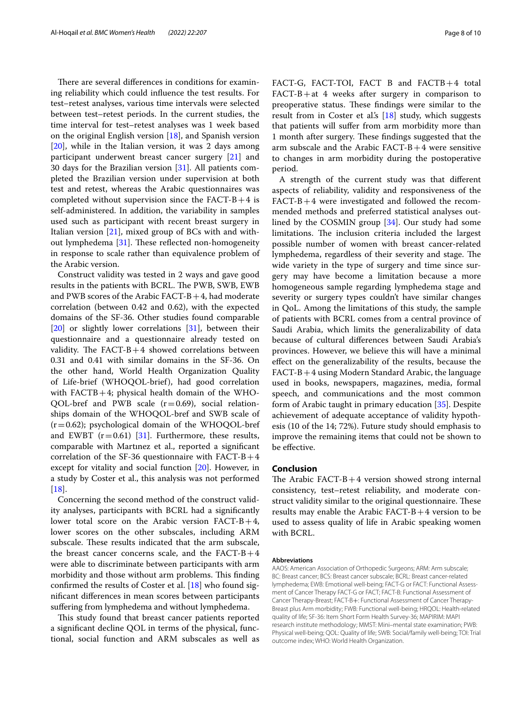There are several differences in conditions for examining reliability which could infuence the test results. For test–retest analyses, various time intervals were selected between test–retest periods. In the current studies, the time interval for test–retest analyses was 1 week based on the original English version [[18](#page-8-15)], and Spanish version [[20\]](#page-8-17), while in the Italian version, it was 2 days among participant underwent breast cancer surgery [\[21](#page-8-20)] and 30 days for the Brazilian version [\[31\]](#page-9-5). All patients completed the Brazilian version under supervision at both test and retest, whereas the Arabic questionnaires was completed without supervision since the  $FACT-B+4$  is self-administered. In addition, the variability in samples used such as participant with recent breast surgery in Italian version  $[21]$  $[21]$ , mixed group of BCs with and with-out lymphedema [\[31\]](#page-9-5). These reflected non-homogeneity in response to scale rather than equivalence problem of the Arabic version.

Construct validity was tested in 2 ways and gave good results in the patients with BCRL. The PWB, SWB, EWB and PWB scores of the Arabic FACT-B $+4$ , had moderate correlation (between 0.42 and 0.62), with the expected domains of the SF-36. Other studies found comparable [[20\]](#page-8-17) or slightly lower correlations [\[31](#page-9-5)], between their questionnaire and a questionnaire already tested on validity. The FACT-B $+4$  showed correlations between 0.31 and 0.41 with similar domains in the SF-36. On the other hand, World Health Organization Quality of Life-brief (WHOQOL-brief), had good correlation with  $FACTB+4$ ; physical health domain of the WHO-QOL-bref and PWB scale  $(r=0.69)$ , social relationships domain of the WHOQOL-bref and SWB scale of  $(r=0.62)$ ; psychological domain of the WHOQOL-bref and EWBT  $(r=0.61)$  [\[31\]](#page-9-5). Furthermore, these results, comparable with Martınez et al., reported a signifcant correlation of the SF-36 questionnaire with  $FACT-B+4$ except for vitality and social function [\[20](#page-8-17)]. However, in a study by Coster et al., this analysis was not performed [[18\]](#page-8-15).

Concerning the second method of the construct validity analyses, participants with BCRL had a signifcantly lower total score on the Arabic version  $FACT-B+4$ , lower scores on the other subscales, including ARM subscale. These results indicated that the arm subscale, the breast cancer concerns scale, and the  $FACT-B+4$ were able to discriminate between participants with arm morbidity and those without arm problems. This finding confrmed the results of Coster et al. [\[18](#page-8-15)] who found signifcant diferences in mean scores between participants sufering from lymphedema and without lymphedema.

This study found that breast cancer patients reported a signifcant decline QOL in terms of the physical, functional, social function and ARM subscales as well as FACT-G, FACT-TOI, FACT B and FACTB+4 total  $FACT-B+at$  4 weeks after surgery in comparison to preoperative status. These findings were similar to the result from in Coster et al's [[18\]](#page-8-15) study, which suggests that patients will sufer from arm morbidity more than 1 month after surgery. These findings suggested that the arm subscale and the Arabic  $FACT-B+4$  were sensitive to changes in arm morbidity during the postoperative period.

A strength of the current study was that diferent aspects of reliability, validity and responsiveness of the  $FACT-B+4$  were investigated and followed the recommended methods and preferred statistical analyses outlined by the COSMIN group [\[34\]](#page-9-9). Our study had some limitations. The inclusion criteria included the largest possible number of women with breast cancer-related lymphedema, regardless of their severity and stage. The wide variety in the type of surgery and time since surgery may have become a limitation because a more homogeneous sample regarding lymphedema stage and severity or surgery types couldn't have similar changes in QoL. Among the limitations of this study, the sample of patients with BCRL comes from a central province of Saudi Arabia, which limits the generalizability of data because of cultural diferences between Saudi Arabia's provinces. However, we believe this will have a minimal efect on the generalizability of the results, because the FACT-B+4 using Modern Standard Arabic, the language used in books, newspapers, magazines, media, formal speech, and communications and the most common form of Arabic taught in primary education [[35](#page-9-10)]. Despite achievement of adequate acceptance of validity hypothesis (10 of the 14; 72%). Future study should emphasis to improve the remaining items that could not be shown to be efective.

## **Conclusion**

The Arabic FACT-B $+4$  version showed strong internal consistency, test–retest reliability, and moderate construct validity similar to the original questionnaire. These results may enable the Arabic  $FACT-B+4$  version to be used to assess quality of life in Arabic speaking women with BCRL.

#### **Abbreviations**

AAOS: American Association of Orthopedic Surgeons; ARM: Arm subscale; BC: Breast cancer; BCS: Breast cancer subscale; BCRL: Breast cancer-related lymphedema; EWB: Emotional well-being; FACT-G or FACT: Functional Assessment of Cancer Therapy FACT-G or FACT; FACT-B: Functional Assessment of Cancer Therapy-Breast; FACT-B+: Functional Assessment of Cancer Therapy-Breast plus Arm morbidity; FWB: Functional well-being; HRQOL: Health-related quality of life; SF-36: Item Short Form Health Survey-36; MAPIRIM: MAPI research institute methodology; MMST: Mini–mental state examination; PWB: Physical well-being; QOL: Quality of life; SWB: Social/family well-being; TOI: Trial outcome index; WHO: World Health Organization.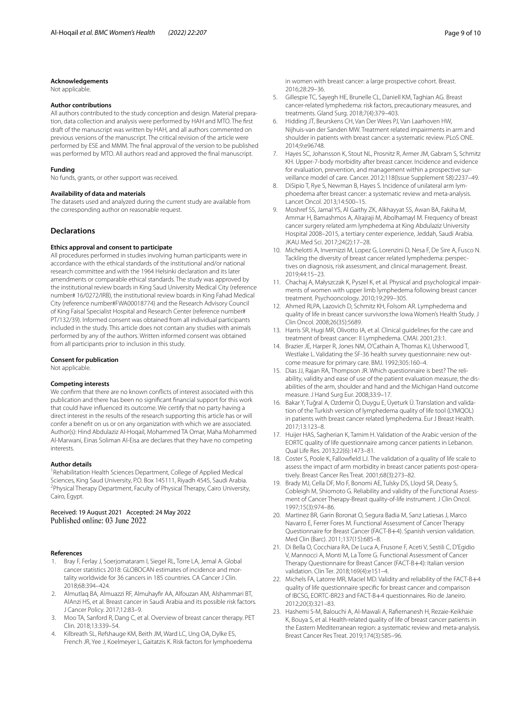#### **Acknowledgements**

Not applicable.

### **Author contributions**

All authors contributed to the study conception and design. Material preparation, data collection and analysis were performed by HAH and MTO. The frst draft of the manuscript was written by HAH, and all authors commented on previous versions of the manuscript. The critical revision of the article were performed by ESE and MMM. The fnal approval of the version to be published was performed by MTO. All authors read and approved the fnal manuscript.

#### **Funding**

No funds, grants, or other support was received.

#### **Availability of data and materials**

The datasets used and analyzed during the current study are available from the corresponding author on reasonable request.

## **Declarations**

### **Ethics approval and consent to participate**

All procedures performed in studies involving human participants were in accordance with the ethical standards of the institutional and/or national research committee and with the 1964 Helsinki declaration and its later amendments or comparable ethical standards. The study was approved by the institutional review boards in King Saud University Medical City (reference number# 16/0272/IRB), the institutional review boards in King Fahad Medical City (reference number#FWA00018774) and the Research Advisory Council of King Faisal Specialist Hospital and Research Center (reference number# PT/132/39). Informed consent was obtained from all individual participants included in the study. This article does not contain any studies with animals performed by any of the authors. Written informed consent was obtained from all participants prior to inclusion in this study.

#### **Consent for publication**

Not applicable.

## **Competing interests**

We confrm that there are no known conficts of interest associated with this publication and there has been no signifcant fnancial support for this work that could have infuenced its outcome. We certify that no party having a direct interest in the results of the research supporting this article has or will confer a beneft on us or on any organization with which we are associated. Author(s): Hind Abdulaziz Al-Hoqail, Mohammed TA Omar, Maha Mohammed Al-Marwani, Einas Soliman Al-Eisa are declares that they have no competing interests.

#### **Author details**

<sup>1</sup> Rehabilitation Health Sciences Department, College of Applied Medical Sciences, King Saud University, P.O. Box 145111, Riyadh 4545, Saudi Arabia. 2 Physical Therapy Department, Faculty of Physical Therapy, Cairo University, Cairo, Egypt.

# Received: 19 August 2021 Accepted: 24 May 2022<br>Published online: 03 June 2022

#### **References**

- <span id="page-8-0"></span>1. Bray F, Ferlay J, Soerjomataram I, Siegel RL, Torre LA, Jemal A. Global cancer statistics 2018: GLOBOCAN estimates of incidence and mortality worldwide for 36 cancers in 185 countries. CA Cancer J Clin. 2018;68:394–424.
- <span id="page-8-1"></span>2. Almutlaq BA, Almuazzi RF, Almuhayfr AA, Alfouzan AM, Alshammari BT, AlAnzi HS, et al. Breast cancer in Saudi Arabia and its possible risk factors. J Cancer Policy. 2017;12:83–9.
- <span id="page-8-2"></span>3. Moo TA, Sanford R, Dang C, et al. Overview of breast cancer therapy. PET Clin. 2018;13:339–54.
- 4. Kilbreath SL, Refshauge KM, Beith JM, Ward LC, Ung OA, Dylke ES, French JR, Yee J, Koelmeyer L, Gaitatzis K. Risk factors for lymphoedema

in women with breast cancer: a large prospective cohort. Breast. 2016;28:29–36.

- <span id="page-8-3"></span>5. Gillespie TC, Sayegh HE, Brunelle CL, Daniell KM, Taghian AG. Breast cancer-related lymphedema: risk factors, precautionary measures, and treatments. Gland Surg. 2018;7(4):379–403.
- <span id="page-8-4"></span>6. Hidding JT, Beurskens CH, Van Der Wees PJ, Van Laarhoven HW, Nijhuis-van der Sanden MW. Treatment related impairments in arm and shoulder in patients with breast cancer: a systematic review. PLoS ONE. 2014;9:e96748.
- <span id="page-8-5"></span>7. Hayes SC, Johansson K, Stout NL, Prosnitz R, Armer JM, Gabram S, Schmitz KH. Upper-7-body morbidity after breast cancer. Incidence and evidence for evaluation, prevention, and management within a prospective surveillance model of care. Cancer. 2012;118(Issue Supplement S8):2237–49.
- <span id="page-8-6"></span>DiSipio T, Rye S, Newman B, Hayes S. Incidence of unilateral arm lymphoedema after breast cancer: a systematic review and meta-analysis. Lancet Oncol. 2013;14:500–15.
- <span id="page-8-7"></span>9. Moshref SS, Jamal YS, Al Gaithy ZK, Alkhayyat SS, Awan BA, Fakiha M, Ammar H, Bamashmos A, Alrajraji M, Abolhamayl M. Frequency of breast cancer surgery related arm lymphedema at King Abdulaziz University Hospital 2008–2015, a tertiary center experience, Jeddah, Saudi Arabia. JKAU Med Sci. 2017;24(2):17–28.
- <span id="page-8-8"></span>10. Michelotti A, Invernizzi M, Lopez G, Lorenzini D, Nesa F, De Sire A, Fusco N. Tackling the diversity of breast cancer related lymphedema: perspectives on diagnosis, risk assessment, and clinical management. Breast. 2019;44:15–23.
- <span id="page-8-9"></span>11. Chachaj A, Małyszczak K, Pyszel K, et al. Physical and psychological impairments of women with upper limb lymphedema following breast cancer treatment. Psychooncology. 2010;19:299–305.
- 12. Ahmed RLPA, Lazovich D, Schmitz KH, Folsom AR. Lymphedema and quality of life in breast cancer survivors:the Iowa Women's Health Study. J Clin Oncol. 2008;26(35):5689.
- <span id="page-8-10"></span>13. Harris SR, Hugi MR, Olivotto IA, et al. Clinical guidelines for the care and treatment of breast cancer: II Lymphedema. CMAI. 2001;23:1.
- <span id="page-8-11"></span>14. Brazier JE, Harper R, Jones NM, O'Cathain A, Thomas KJ, Usherwood T, Westlake L. Validating the SF-36 health survey questionnaire: new outcome measure for primary care. BMJ. 1992;305:160–4.
- <span id="page-8-13"></span>15. Dias JJ, Rajan RA, Thompson JR. Which questionnaire is best? The reliability, validity and ease of use of the patient evaluation measure, the disabilities of the arm, shoulder and hand and the Michigan Hand outcome measure. J Hand Surg Eur. 2008;33:9–17.
- <span id="page-8-14"></span>16. Bakar Y, Tuğral A, Ozdemir Ö, Duygu E, Üyeturk Ü. Translation and validation of the Turkish version of lymphedema quality of life tool (LYMQOL) in patients with breast cancer related lymphedema. Eur J Breast Health. 2017;13:123–8.
- <span id="page-8-12"></span>17. Huijer HAS, Sagherian K, Tamim H. Validation of the Arabic version of the EORTC quality of life questionnaire among cancer patients in Lebanon. Qual Life Res. 2013;22(6):1473–81.
- <span id="page-8-15"></span>18. Coster S, Poole K, Fallowfeld LJ. The validation of a quality of life scale to assess the impact of arm morbidity in breast cancer patients post-operatively. Breast Cancer Res Treat. 2001;68(3):273–82.
- <span id="page-8-16"></span>19. Brady MJ, Cella DF, Mo F, Bonomi AE, Tulsky DS, Lloyd SR, Deasy S, Cobleigh M, Shiomoto G. Reliability and validity of the Functional Assessment of Cancer Therapy-Breast quality-of-life instrument. J Clin Oncol. 1997;15(3):974–86.
- <span id="page-8-17"></span>20. Martinez BR, Garin Boronat O, Segura Badia M, Sanz Latiesas J, Marco Navarro E, Ferrer Fores M. Functional Assessment of Cancer Therapy Questionnaire for Breast Cancer (FACT-B+4). Spanish version validation. Med Clin (Barc). 2011;137(15):685–8.
- <span id="page-8-20"></span>21. Di Bella O, Cocchiara RA, De Luca A, Frusone F, Aceti V, Sestili C, D'Egidio V, Mannocci A, Monti M, La Torre G. Functional Assessment of Cancer Therapy Questionnaire for Breast Cancer (FACT-B+4): Italian version validation. Clin Ter. 2018;169(4):e151–4.
- <span id="page-8-18"></span>22. Michels FA, Latorre MR, Maciel MD. Validity and reliability of the FACT-B+4 quality of life questionnaire specifc for breast cancer and comparison of IBCSG, EORTC-BR23 and FACT-B+4 questionnaires. Rio de Janeiro. 2012;20(3):321–83.
- <span id="page-8-19"></span>23. Hashemi S-M, Balouchi A, Al-Mawali A, Rafemanesh H, Rezaie-Keikhaie K, Bouya S, et al. Health-related quality of life of breast cancer patients in the Eastern Mediterranean region: a systematic review and meta-analysis. Breast Cancer Res Treat. 2019;174(3):585–96.